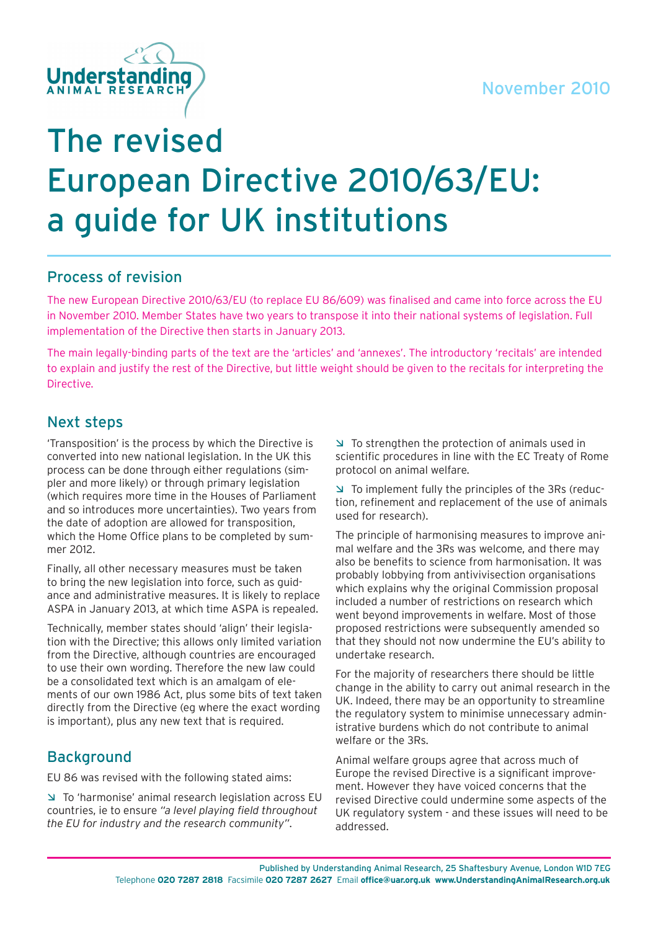

### Process of revision

The new European Directive 2010/63/EU (to replace EU 86/609) was finalised and came into force across the EU in November 2010. Member States have two years to transpose it into their national systems of legislation. Full implementation of the Directive then starts in January 2013.

The main legally-binding parts of the text are the 'articles' and 'annexes'. The introductory 'recitals' are intended to explain and justify the rest of the Directive, but little weight should be given to the recitals for interpreting the Directive.

### Next steps

'Transposition' is the process by which the Directive is converted into new national legislation. In the UK this process can be done through either regulations (simpler and more likely) or through primary legislation (which requires more time in the Houses of Parliament and so introduces more uncertainties). Two years from the date of adoption are allowed for transposition, which the Home Office plans to be completed by summer 2012.

Finally, all other necessary measures must be taken to bring the new legislation into force, such as guidance and administrative measures. It is likely to replace ASPA in January 2013, at which time ASPA is repealed.

Technically, member states should 'align' their legislation with the Directive; this allows only limited variation from the Directive, although countries are encouraged to use their own wording. Therefore the new law could be a consolidated text which is an amalgam of elements of our own 1986 Act, plus some bits of text taken directly from the Directive (eg where the exact wording is important), plus any new text that is required.

### **Background**

EU 86 was revised with the following stated aims:

Ì To 'harmonise' animal research legislation across EU countries, ie to ensure *"a level playing field throughout the EU for industry and the research community"*.

 $\triangleright$  To strengthen the protection of animals used in scientific procedures in line with the EC Treaty of Rome protocol on animal welfare.

 $\Box$  To implement fully the principles of the 3Rs (reduction, refinement and replacement of the use of animals used for research).

The principle of harmonising measures to improve animal welfare and the 3Rs was welcome, and there may also be benefits to science from harmonisation. It was probably lobbying from antivivisection organisations which explains why the original Commission proposal included a number of restrictions on research which went beyond improvements in welfare. Most of those proposed restrictions were subsequently amended so that they should not now undermine the EU's ability to undertake research.

For the majority of researchers there should be little change in the ability to carry out animal research in the UK. Indeed, there may be an opportunity to streamline the regulatory system to minimise unnecessary administrative burdens which do not contribute to animal welfare or the 3Rs.

Animal welfare groups agree that across much of Europe the revised Directive is a significant improvement. However they have voiced concerns that the revised Directive could undermine some aspects of the UK regulatory system - and these issues will need to be addressed.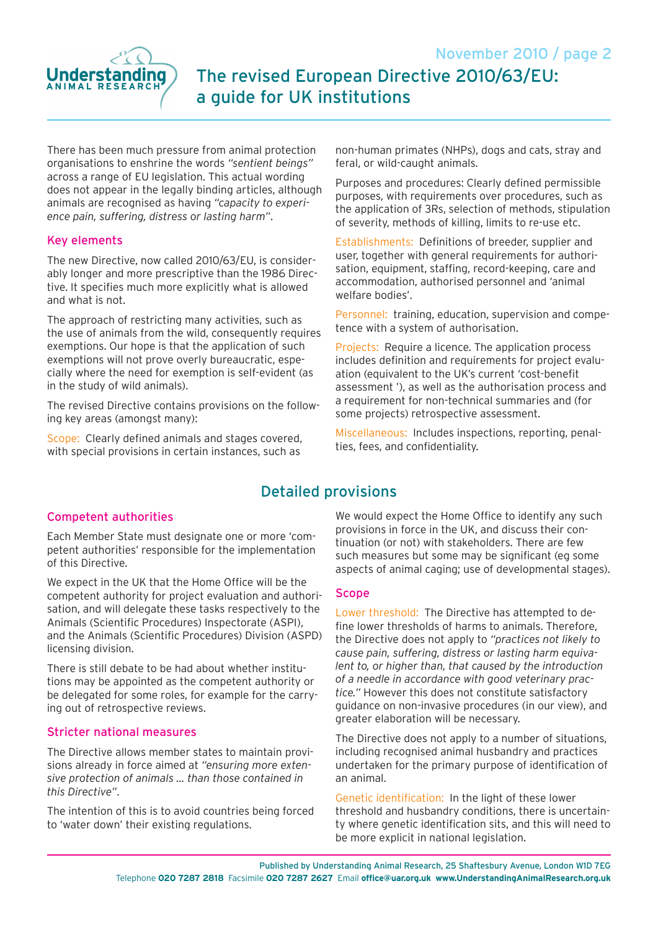

There has been much pressure from animal protection organisations to enshrine the words *"sentient beings"* across a range of EU legislation. This actual wording does not appear in the legally binding articles, although animals are recognised as having *"capacity to experience pain, suffering, distress or lasting harm"*.

### Key elements

The new Directive, now called 2010/63/EU, is considerably longer and more prescriptive than the 1986 Directive. It specifies much more explicitly what is allowed and what is not.

The approach of restricting many activities, such as the use of animals from the wild, consequently requires exemptions. Our hope is that the application of such exemptions will not prove overly bureaucratic, especially where the need for exemption is self-evident (as in the study of wild animals).

The revised Directive contains provisions on the following key areas (amongst many):

Scope: Clearly defined animals and stages covered, with special provisions in certain instances, such as

non-human primates (NHPs), dogs and cats, stray and feral, or wild-caught animals.

Purposes and procedures: Clearly defined permissible purposes, with requirements over procedures, such as the application of 3Rs, selection of methods, stipulation of severity, methods of killing, limits to re-use etc.

Establishments: Definitions of breeder, supplier and user, together with general requirements for authorisation, equipment, staffing, record-keeping, care and accommodation, authorised personnel and 'animal welfare bodies'.

Personnel: training, education, supervision and competence with a system of authorisation.

Projects: Require a licence. The application process includes definition and requirements for project evaluation (equivalent to the UK's current 'cost-benefit assessment '), as well as the authorisation process and a requirement for non-technical summaries and (for some projects) retrospective assessment.

Miscellaneous: Includes inspections, reporting, penalties, fees, and confidentiality.

## Detailed provisions

### Competent authorities

Each Member State must designate one or more 'competent authorities' responsible for the implementation of this Directive.

We expect in the UK that the Home Office will be the competent authority for project evaluation and authorisation, and will delegate these tasks respectively to the Animals (Scientific Procedures) Inspectorate (ASPI), and the Animals (Scientific Procedures) Division (ASPD) licensing division.

There is still debate to be had about whether institutions may be appointed as the competent authority or be delegated for some roles, for example for the carrying out of retrospective reviews.

### Stricter national measures

The Directive allows member states to maintain provisions already in force aimed at *"ensuring more extensive protection of animals … than those contained in this Directive"*.

The intention of this is to avoid countries being forced to 'water down' their existing regulations.

We would expect the Home Office to identify any such provisions in force in the UK, and discuss their continuation (or not) with stakeholders. There are few such measures but some may be significant (eg some aspects of animal caging; use of developmental stages).

### Scope

Lower threshold: The Directive has attempted to define lower thresholds of harms to animals. Therefore, the Directive does not apply to *"practices not likely to cause pain, suffering, distress or lasting harm equivalent to, or higher than, that caused by the introduction of a needle in accordance with good veterinary practice."* However this does not constitute satisfactory guidance on non-invasive procedures (in our view), and greater elaboration will be necessary.

The Directive does not apply to a number of situations, including recognised animal husbandry and practices undertaken for the primary purpose of identification of an animal.

Genetic identification: In the light of these lower threshold and husbandry conditions, there is uncertainty where genetic identification sits, and this will need to be more explicit in national legislation.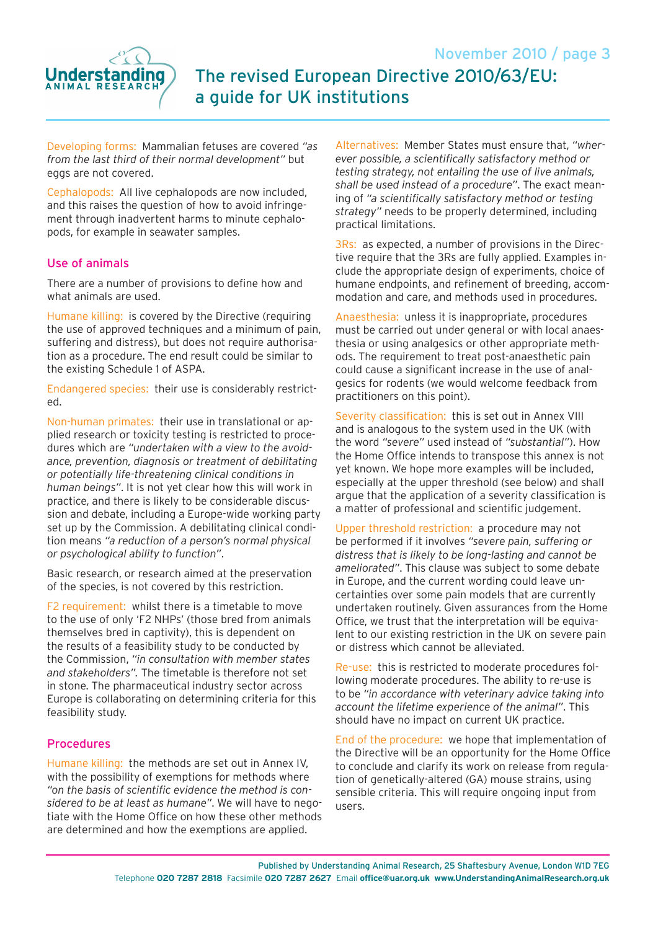

# November 2010 / page 3 The revised European Directive 2010/63/EU: a guide for UK institutions

Developing forms: Mammalian fetuses are covered *"as from the last third of their normal development"* but eggs are not covered.

Cephalopods: All live cephalopods are now included, and this raises the question of how to avoid infringement through inadvertent harms to minute cephalopods, for example in seawater samples.

#### Use of animals

There are a number of provisions to define how and what animals are used.

Humane killing: is covered by the Directive (requiring the use of approved techniques and a minimum of pain, suffering and distress), but does not require authorisation as a procedure. The end result could be similar to the existing Schedule 1 of ASPA.

Endangered species: their use is considerably restricted.

Non-human primates: their use in translational or applied research or toxicity testing is restricted to procedures which are *"undertaken with a view to the avoidance, prevention, diagnosis or treatment of debilitating or potentially life-threatening clinical conditions in human beings"*. It is not yet clear how this will work in practice, and there is likely to be considerable discussion and debate, including a Europe-wide working party set up by the Commission. A debilitating clinical condition means *"a reduction of a person's normal physical or psychological ability to function"*.

Basic research, or research aimed at the preservation of the species, is not covered by this restriction.

F2 requirement: whilst there is a timetable to move to the use of only 'F2 NHPs' (those bred from animals themselves bred in captivity), this is dependent on the results of a feasibility study to be conducted by the Commission, *"in consultation with member states and stakeholders".* The timetable is therefore not set in stone. The pharmaceutical industry sector across Europe is collaborating on determining criteria for this feasibility study.

#### Procedures

Humane killing: the methods are set out in Annex IV, with the possibility of exemptions for methods where *"on the basis of scientific evidence the method is considered to be at least as humane"*. We will have to negotiate with the Home Office on how these other methods are determined and how the exemptions are applied.

Alternatives: Member States must ensure that, *"wherever possible, a scientifically satisfactory method or testing strategy, not entailing the use of live animals, shall be used instead of a procedure"*. The exact meaning of *"a scientifically satisfactory method or testing strategy"* needs to be properly determined, including practical limitations.

3Rs: as expected, a number of provisions in the Directive require that the 3Rs are fully applied. Examples include the appropriate design of experiments, choice of humane endpoints, and refinement of breeding, accommodation and care, and methods used in procedures.

Anaesthesia: unless it is inappropriate, procedures must be carried out under general or with local anaesthesia or using analgesics or other appropriate methods. The requirement to treat post-anaesthetic pain could cause a significant increase in the use of analgesics for rodents (we would welcome feedback from practitioners on this point).

Severity classification: this is set out in Annex VIII and is analogous to the system used in the UK (with the word *"severe"* used instead of *"substantial"*). How the Home Office intends to transpose this annex is not yet known. We hope more examples will be included, especially at the upper threshold (see below) and shall argue that the application of a severity classification is a matter of professional and scientific judgement.

Upper threshold restriction: a procedure may not be performed if it involves *"severe pain, suffering or distress that is likely to be long-lasting and cannot be ameliorated"*. This clause was subject to some debate in Europe, and the current wording could leave uncertainties over some pain models that are currently undertaken routinely. Given assurances from the Home Office, we trust that the interpretation will be equivalent to our existing restriction in the UK on severe pain or distress which cannot be alleviated.

Re-use: this is restricted to moderate procedures following moderate procedures. The ability to re-use is to be *"in accordance with veterinary advice taking into account the lifetime experience of the animal"*. This should have no impact on current UK practice.

End of the procedure: we hope that implementation of the Directive will be an opportunity for the Home Office to conclude and clarify its work on release from regulation of genetically-altered (GA) mouse strains, using sensible criteria. This will require ongoing input from users.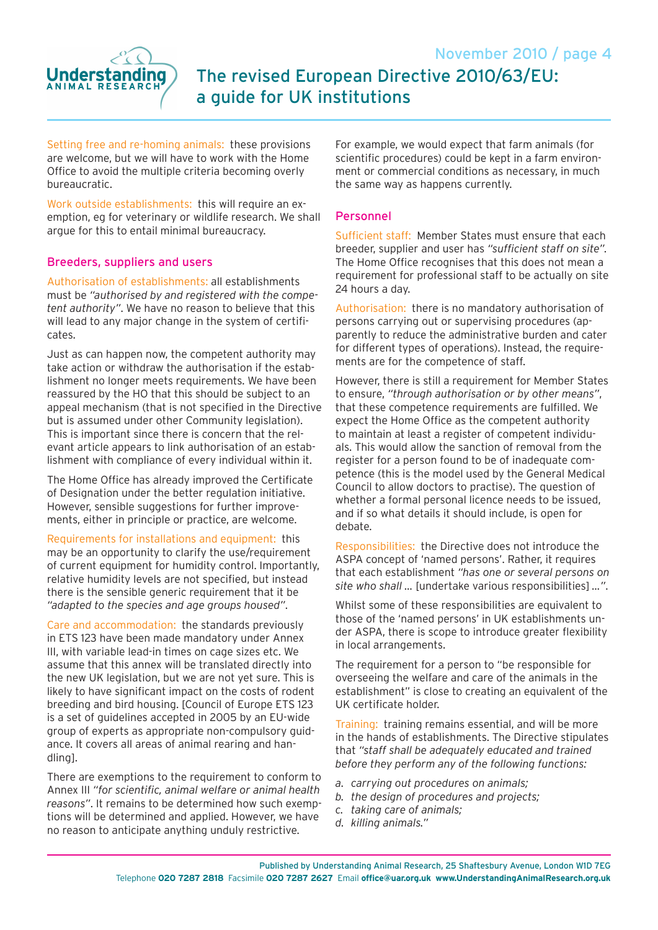

Setting free and re-homing animals: these provisions are welcome, but we will have to work with the Home Office to avoid the multiple criteria becoming overly bureaucratic.

Work outside establishments: this will require an exemption, eg for veterinary or wildlife research. We shall argue for this to entail minimal bureaucracy.

### Breeders, suppliers and users

Authorisation of establishments: all establishments must be *"authorised by and registered with the competent authority"*. We have no reason to believe that this will lead to any major change in the system of certificates.

Just as can happen now, the competent authority may take action or withdraw the authorisation if the establishment no longer meets requirements. We have been reassured by the HO that this should be subject to an appeal mechanism (that is not specified in the Directive but is assumed under other Community legislation). This is important since there is concern that the relevant article appears to link authorisation of an establishment with compliance of every individual within it.

The Home Office has already improved the Certificate of Designation under the better regulation initiative. However, sensible suggestions for further improvements, either in principle or practice, are welcome.

Requirements for installations and equipment: this may be an opportunity to clarify the use/requirement of current equipment for humidity control. Importantly, relative humidity levels are not specified, but instead there is the sensible generic requirement that it be *"adapted to the species and age groups housed"*.

Care and accommodation: the standards previously in ETS 123 have been made mandatory under Annex III, with variable lead-in times on cage sizes etc. We assume that this annex will be translated directly into the new UK legislation, but we are not yet sure. This is likely to have significant impact on the costs of rodent breeding and bird housing. [Council of Europe ETS 123 is a set of guidelines accepted in 2005 by an EU-wide group of experts as appropriate non-compulsory guidance. It covers all areas of animal rearing and handling].

There are exemptions to the requirement to conform to Annex III *"for scientific, animal welfare or animal health reasons"*. It remains to be determined how such exemptions will be determined and applied. However, we have no reason to anticipate anything unduly restrictive.

For example, we would expect that farm animals (for scientific procedures) could be kept in a farm environment or commercial conditions as necessary, in much the same way as happens currently.

#### Personnel

Sufficient staff: Member States must ensure that each breeder, supplier and user has *"sufficient staff on site".* The Home Office recognises that this does not mean a requirement for professional staff to be actually on site 24 hours a day.

Authorisation: there is no mandatory authorisation of persons carrying out or supervising procedures (apparently to reduce the administrative burden and cater for different types of operations). Instead, the requirements are for the competence of staff.

However, there is still a requirement for Member States to ensure, *"through authorisation or by other means"*, that these competence requirements are fulfilled. We expect the Home Office as the competent authority to maintain at least a register of competent individuals. This would allow the sanction of removal from the register for a person found to be of inadequate competence (this is the model used by the General Medical Council to allow doctors to practise). The question of whether a formal personal licence needs to be issued, and if so what details it should include, is open for debate.

Responsibilities: the Directive does not introduce the ASPA concept of 'named persons'. Rather, it requires that each establishment *"has one or several persons on site who shall …* [undertake various responsibilities] *…"*.

Whilst some of these responsibilities are equivalent to those of the 'named persons' in UK establishments under ASPA, there is scope to introduce greater flexibility in local arrangements.

The requirement for a person to "be responsible for overseeing the welfare and care of the animals in the establishment" is close to creating an equivalent of the UK certificate holder.

Training: training remains essential, and will be more in the hands of establishments. The Directive stipulates that *"staff shall be adequately educated and trained before they perform any of the following functions:*

- *a. carrying out procedures on animals;*
- *b. the design of procedures and projects;*
- *c. taking care of animals;*
- *d. killing animals."*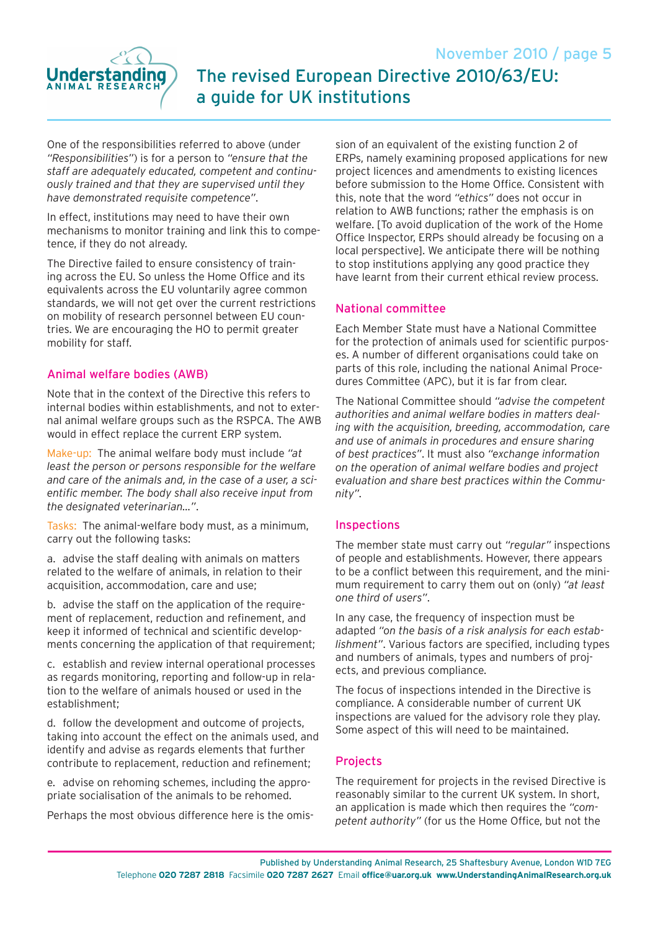

One of the responsibilities referred to above (under *"Responsibilities"*) is for a person to *"ensure that the staff are adequately educated, competent and continuously trained and that they are supervised until they have demonstrated requisite competence"*.

In effect, institutions may need to have their own mechanisms to monitor training and link this to competence, if they do not already.

The Directive failed to ensure consistency of training across the EU. So unless the Home Office and its equivalents across the EU voluntarily agree common standards, we will not get over the current restrictions on mobility of research personnel between EU countries. We are encouraging the HO to permit greater mobility for staff.

### Animal welfare bodies (AWB)

Note that in the context of the Directive this refers to internal bodies within establishments, and not to external animal welfare groups such as the RSPCA. The AWB would in effect replace the current ERP system.

Make-up: The animal welfare body must include *"at least the person or persons responsible for the welfare and care of the animals and, in the case of a user, a scientific member. The body shall also receive input from the designated veterinarian…"*.

Tasks: The animal-welfare body must, as a minimum, carry out the following tasks:

a. advise the staff dealing with animals on matters related to the welfare of animals, in relation to their acquisition, accommodation, care and use;

b. advise the staff on the application of the requirement of replacement, reduction and refinement, and keep it informed of technical and scientific developments concerning the application of that requirement;

c. establish and review internal operational processes as regards monitoring, reporting and follow-up in relation to the welfare of animals housed or used in the establishment;

d. follow the development and outcome of projects, taking into account the effect on the animals used, and identify and advise as regards elements that further contribute to replacement, reduction and refinement;

e. advise on rehoming schemes, including the appropriate socialisation of the animals to be rehomed.

Perhaps the most obvious difference here is the omis-

sion of an equivalent of the existing function 2 of ERPs, namely examining proposed applications for new project licences and amendments to existing licences before submission to the Home Office. Consistent with this, note that the word *"ethics"* does not occur in relation to AWB functions; rather the emphasis is on welfare. [To avoid duplication of the work of the Home Office Inspector, ERPs should already be focusing on a local perspective]. We anticipate there will be nothing to stop institutions applying any good practice they have learnt from their current ethical review process.

### National committee

Each Member State must have a National Committee for the protection of animals used for scientific purposes. A number of different organisations could take on parts of this role, including the national Animal Procedures Committee (APC), but it is far from clear.

The National Committee should *"advise the competent authorities and animal welfare bodies in matters dealing with the acquisition, breeding, accommodation, care and use of animals in procedures and ensure sharing of best practices"*. It must also *"exchange information on the operation of animal welfare bodies and project evaluation and share best practices within the Community".*

#### Inspections

The member state must carry out *"regular"* inspections of people and establishments. However, there appears to be a conflict between this requirement, and the minimum requirement to carry them out on (only) *"at least one third of users"*.

In any case, the frequency of inspection must be adapted *"on the basis of a risk analysis for each establishment"*. Various factors are specified, including types and numbers of animals, types and numbers of projects, and previous compliance.

The focus of inspections intended in the Directive is compliance. A considerable number of current UK inspections are valued for the advisory role they play. Some aspect of this will need to be maintained.

### **Projects**

The requirement for projects in the revised Directive is reasonably similar to the current UK system. In short, an application is made which then requires the *"competent authority"* (for us the Home Office, but not the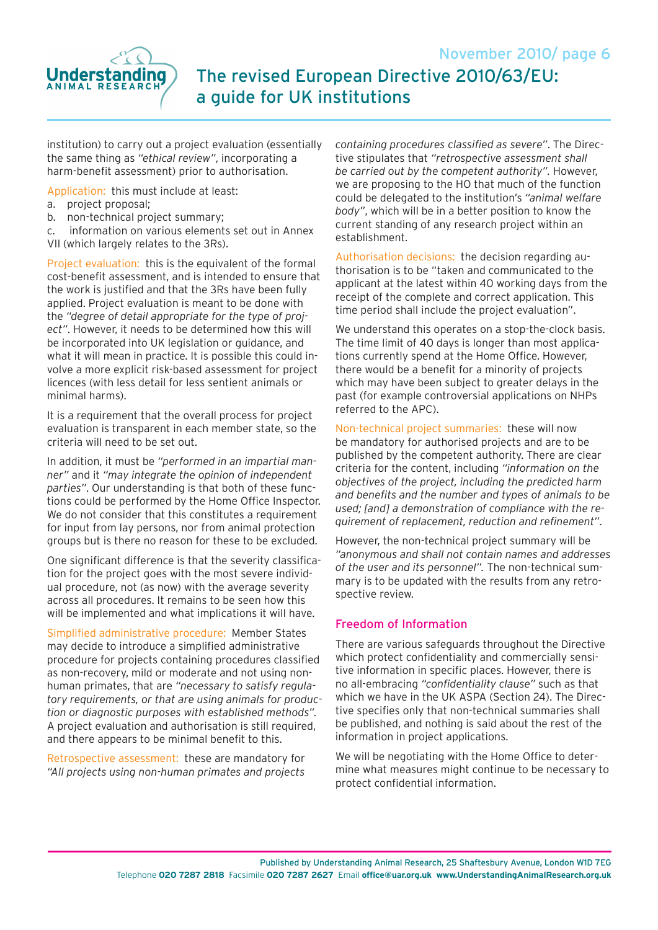



institution) to carry out a project evaluation (essentially the same thing as *"ethical review"*, incorporating a harm-benefit assessment) prior to authorisation.

Application: this must include at least:

- a. project proposal;
- b. non-technical project summary;

c. information on various elements set out in Annex VII (which largely relates to the 3Rs).

Project evaluation: this is the equivalent of the formal cost-benefit assessment, and is intended to ensure that the work is justified and that the 3Rs have been fully applied. Project evaluation is meant to be done with the *"degree of detail appropriate for the type of project"*. However, it needs to be determined how this will be incorporated into UK legislation or guidance, and what it will mean in practice. It is possible this could involve a more explicit risk-based assessment for project licences (with less detail for less sentient animals or minimal harms).

It is a requirement that the overall process for project evaluation is transparent in each member state, so the criteria will need to be set out.

In addition, it must be *"performed in an impartial manner"* and it *"may integrate the opinion of independent parties"*. Our understanding is that both of these functions could be performed by the Home Office Inspector. We do not consider that this constitutes a requirement for input from lay persons, nor from animal protection groups but is there no reason for these to be excluded.

One significant difference is that the severity classification for the project goes with the most severe individual procedure, not (as now) with the average severity across all procedures. It remains to be seen how this will be implemented and what implications it will have.

Simplified administrative procedure: Member States may decide to introduce a simplified administrative procedure for projects containing procedures classified as non-recovery, mild or moderate and not using nonhuman primates, that are *"necessary to satisfy regulatory requirements, or that are using animals for production or diagnostic purposes with established methods".* A project evaluation and authorisation is still required, and there appears to be minimal benefit to this.

Retrospective assessment: these are mandatory for *"All projects using non-human primates and projects*  *containing procedures classified as severe"*. The Directive stipulates that *"retrospective assessment shall be carried out by the competent authority".* However, we are proposing to the HO that much of the function could be delegated to the institution's *"animal welfare body"*, which will be in a better position to know the current standing of any research project within an establishment.

Authorisation decisions: the decision regarding authorisation is to be "taken and communicated to the applicant at the latest within 40 working days from the receipt of the complete and correct application. This time period shall include the project evaluation".

We understand this operates on a stop-the-clock basis. The time limit of 40 days is longer than most applications currently spend at the Home Office. However, there would be a benefit for a minority of projects which may have been subject to greater delays in the past (for example controversial applications on NHPs referred to the APC).

Non-technical project summaries: these will now be mandatory for authorised projects and are to be published by the competent authority. There are clear criteria for the content, including *"information on the objectives of the project, including the predicted harm and benefits and the number and types of animals to be used; [and] a demonstration of compliance with the requirement of replacement, reduction and refinement"*.

However, the non-technical project summary will be *"anonymous and shall not contain names and addresses of the user and its personnel".* The non-technical summary is to be updated with the results from any retrospective review.

### Freedom of Information

There are various safeguards throughout the Directive which protect confidentiality and commercially sensitive information in specific places. However, there is no all-embracing *"confidentiality clause"* such as that which we have in the UK ASPA (Section 24). The Directive specifies only that non-technical summaries shall be published, and nothing is said about the rest of the information in project applications.

We will be negotiating with the Home Office to determine what measures might continue to be necessary to protect confidential information.